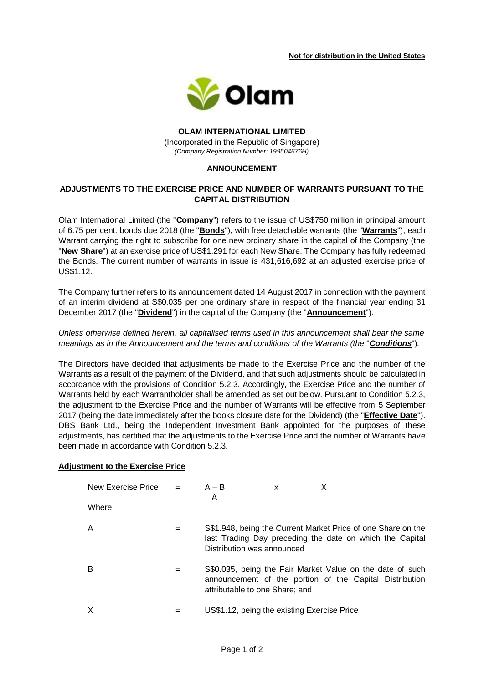**Not for distribution in the United States** 



## **OLAM INTERNATIONAL LIMITED** (Incorporated in the Republic of Singapore) *(Company Registration Number: 199504676H)*

## **ANNOUNCEMENT**

# **ADJUSTMENTS TO THE EXERCISE PRICE AND NUMBER OF WARRANTS PURSUANT TO THE CAPITAL DISTRIBUTION**

Olam International Limited (the "**Company**") refers to the issue of US\$750 million in principal amount of 6.75 per cent. bonds due 2018 (the "**Bonds**"), with free detachable warrants (the "**Warrants**"), each Warrant carrying the right to subscribe for one new ordinary share in the capital of the Company (the "**New Share**") at an exercise price of US\$1.291 for each New Share. The Company has fully redeemed the Bonds. The current number of warrants in issue is 431,616,692 at an adjusted exercise price of US\$1.12.

The Company further refers to its announcement dated 14 August 2017 in connection with the payment of an interim dividend at S\$0.035 per one ordinary share in respect of the financial year ending 31 December 2017 (the "**Dividend**") in the capital of the Company (the "**Announcement**").

## *Unless otherwise defined herein, all capitalised terms used in this announcement shall bear the same meanings as in the Announcement and the terms and conditions of the Warrants (the* "*Conditions*")*.*

The Directors have decided that adjustments be made to the Exercise Price and the number of the Warrants as a result of the payment of the Dividend, and that such adjustments should be calculated in accordance with the provisions of Condition 5.2.3. Accordingly, the Exercise Price and the number of Warrants held by each Warrantholder shall be amended as set out below. Pursuant to Condition 5.2.3, the adjustment to the Exercise Price and the number of Warrants will be effective from 5 September 2017 (being the date immediately after the books closure date for the Dividend) (the "**Effective Date**"). DBS Bank Ltd., being the Independent Investment Bank appointed for the purposes of these adjustments, has certified that the adjustments to the Exercise Price and the number of Warrants have been made in accordance with Condition 5.2.3.

## **Adjustment to the Exercise Price**

| New Exercise Price $=$ |     | A – B<br>A                                  | x |                                                                                                                          |
|------------------------|-----|---------------------------------------------|---|--------------------------------------------------------------------------------------------------------------------------|
| Where                  |     |                                             |   |                                                                                                                          |
| A                      | $=$ | Distribution was announced                  |   | S\$1.948, being the Current Market Price of one Share on the<br>last Trading Day preceding the date on which the Capital |
| В                      | =   | attributable to one Share; and              |   | S\$0.035, being the Fair Market Value on the date of such<br>announcement of the portion of the Capital Distribution     |
| $\times$               |     | US\$1.12, being the existing Exercise Price |   |                                                                                                                          |